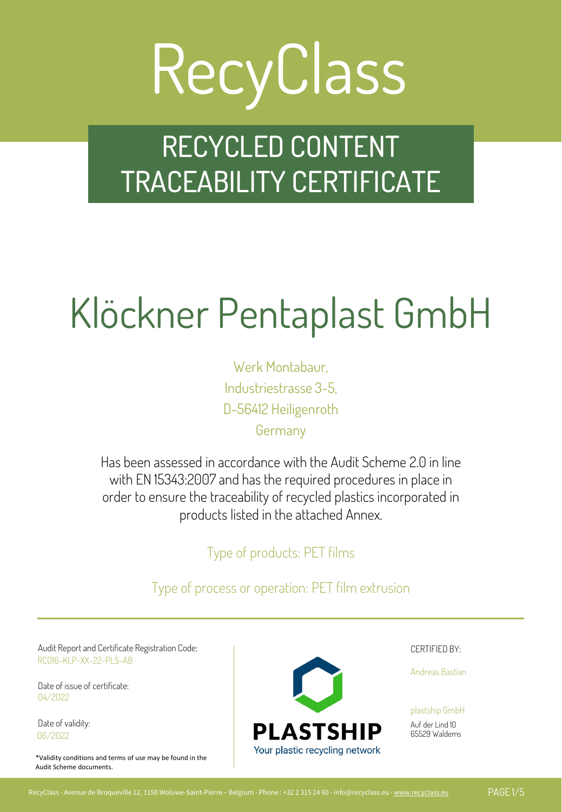### RECYCLED CONTENT TRACEABILITY CERTIFICATE

### Klöckner Pentaplast GmbH

Werk Montabaur, Industriestrasse 3-5, D-56412 Heiligenroth **Germany** 

Has been assessed in accordance with the Audit Scheme 2.0 in line with EN 15343:2007 and has the required procedures in place in order to ensure the traceability of recycled plastics incorporated in products listed in the attached Annex.

Type of products: PET films

Type of process or operation: PET film extrusion

Audit Report and Certificate Registration Code: The CERTIFIED BY: Service CERTIFIED BY: RC016-KLP-XX-22-PLS-AB

Date of issue of certificate: 04/2022

Date of validity: 06/2022

\*Validity conditions and terms of use may be found in the Audit Scheme documents.



Andreas Bastian

plastship GmbH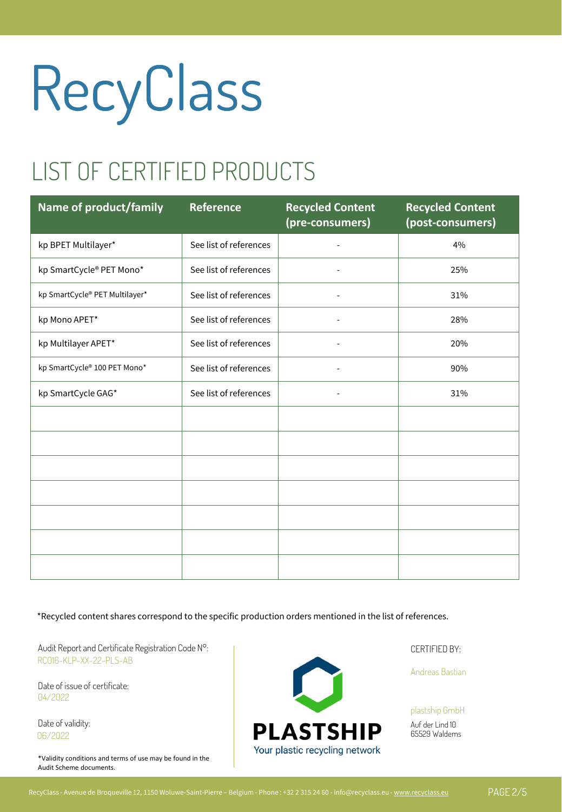#### LIST OF CERTIFIED PRODUCTS

| <b>Name of product/family</b>  | <b>Reference</b>       | <b>Recycled Content</b><br>(pre-consumers) | <b>Recycled Content</b><br>(post-consumers) |
|--------------------------------|------------------------|--------------------------------------------|---------------------------------------------|
| kp BPET Multilayer*            | See list of references | ÷,                                         | 4%                                          |
| kp SmartCycle® PET Mono*       | See list of references | $\overline{\phantom{a}}$                   | 25%                                         |
| kp SmartCycle® PET Multilayer* | See list of references |                                            | 31%                                         |
| kp Mono APET*                  | See list of references | $\overline{\phantom{m}}$                   | 28%                                         |
| kp Multilayer APET*            | See list of references |                                            | 20%                                         |
| kp SmartCycle® 100 PET Mono*   | See list of references |                                            | 90%                                         |
| kp SmartCycle GAG*             | See list of references | ä,                                         | 31%                                         |
|                                |                        |                                            |                                             |
|                                |                        |                                            |                                             |
|                                |                        |                                            |                                             |
|                                |                        |                                            |                                             |
|                                |                        |                                            |                                             |
|                                |                        |                                            |                                             |
|                                |                        |                                            |                                             |

\*Recycled content shares correspond to the specific production orders mentioned in the list of references.

Audit Report and Certificate Registration Code N°: Notified by: Notified By: Notified By: CERTIFIED BY: RC016-KLP-XX-22-PLS-AB

Date of issue of certificate: 04/2022

Date of validity: 06/2022

\*Validity conditions and terms of use may be found in the Audit Scheme documents.



Andreas Bastian

plastship GmbH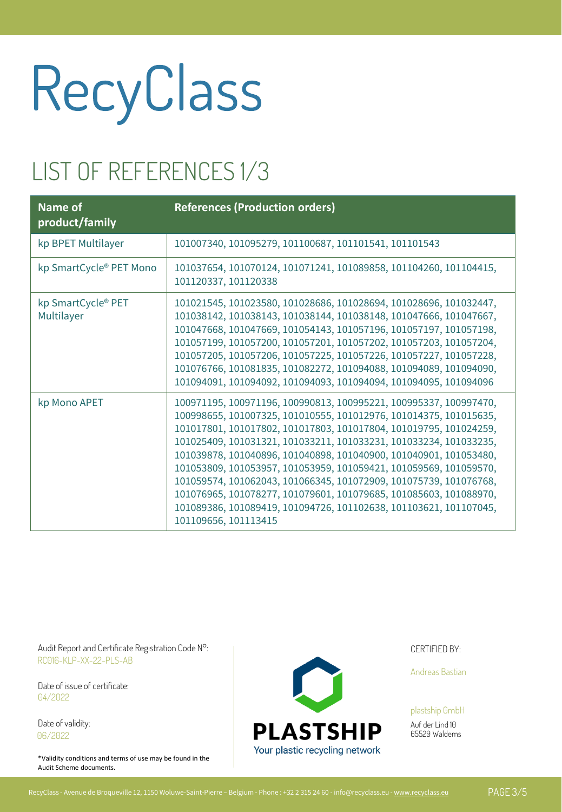#### LIST OF REFERENCES 1/3

| <b>Name of</b><br>product/family | <b>References (Production orders)</b>                                                                                                                                                                                                                                                                                                                                                                                                                                                                                                                                                                                                                             |
|----------------------------------|-------------------------------------------------------------------------------------------------------------------------------------------------------------------------------------------------------------------------------------------------------------------------------------------------------------------------------------------------------------------------------------------------------------------------------------------------------------------------------------------------------------------------------------------------------------------------------------------------------------------------------------------------------------------|
| kp BPET Multilayer               | 101007340, 101095279, 101100687, 101101541, 101101543                                                                                                                                                                                                                                                                                                                                                                                                                                                                                                                                                                                                             |
| kp SmartCycle® PET Mono          | 101037654, 101070124, 101071241, 101089858, 101104260, 101104415,<br>101120337, 101120338                                                                                                                                                                                                                                                                                                                                                                                                                                                                                                                                                                         |
| kp SmartCycle® PET<br>Multilayer | 101021545, 101023580, 101028686, 101028694, 101028696, 101032447,<br>101038142, 101038143, 101038144, 101038148, 101047666, 101047667,<br>101047668, 101047669, 101054143, 101057196, 101057197, 101057198,<br>101057199, 101057200, 101057201, 101057202, 101057203, 101057204,<br>101057205, 101057206, 101057225, 101057226, 101057227, 101057228,<br>101076766, 101081835, 101082272, 101094088, 101094089, 101094090,<br>101094091, 101094092, 101094093, 101094094, 101094095, 101094096                                                                                                                                                                    |
| kp Mono APET                     | 100971195, 100971196, 100990813, 100995221, 100995337, 100997470,<br>100998655, 101007325, 101010555, 101012976, 101014375, 101015635,<br>101017801, 101017802, 101017803, 101017804, 101019795, 101024259,<br>101025409, 101031321, 101033211, 101033231, 101033234, 101033235,<br>101039878, 101040896, 101040898, 101040900, 101040901, 101053480,<br>101053809, 101053957, 101053959, 101059421, 101059569, 101059570,<br>101059574, 101062043, 101066345, 101072909, 101075739, 101076768,<br>101076965, 101078277, 101079601, 101079685, 101085603, 101088970,<br>101089386, 101089419, 101094726, 101102638, 101103621, 101107045,<br>101109656, 101113415 |

Audit Report and Certificate Registration Code N°: Notified by: Notified By: Notified By: CERTIFIED BY: RC016-KLP-XX-22-PLS-AB

Date of issue of certificate: 04/2022

Date of validity: 06/2022

\*Validity conditions and terms of use may be found in the Audit Scheme documents.



Andreas Bastian

plastship GmbH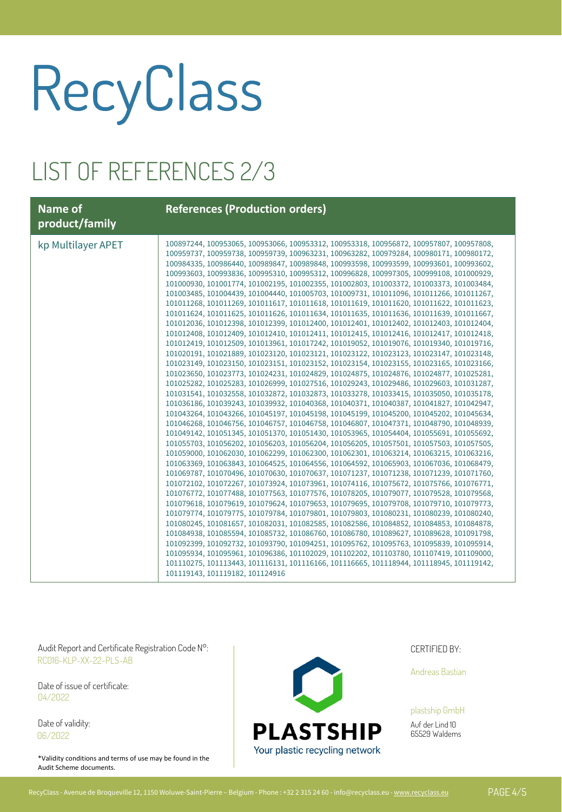#### LIST OF REFERENCES 2/3

| <b>Name of</b><br>product/family | <b>References (Production orders)</b>                                                                                                                                                                                                                                                                                                                                                                                                                                                                                                                                                                                                                                                                                                                                                                                                                                                                                                                                                                                                                                                                                                                                                                                                                                                                                                                                                                                                                                                                                                                                                                                                                                                                                                                                                                                                                                                                                                                                                                                                                                                                                                                                                                                                                                                                                                                                                                                                                                                                                                                                                                                                                                                                                                                                                                                                                                                                                                                                                                                                                                                                                                                      |
|----------------------------------|------------------------------------------------------------------------------------------------------------------------------------------------------------------------------------------------------------------------------------------------------------------------------------------------------------------------------------------------------------------------------------------------------------------------------------------------------------------------------------------------------------------------------------------------------------------------------------------------------------------------------------------------------------------------------------------------------------------------------------------------------------------------------------------------------------------------------------------------------------------------------------------------------------------------------------------------------------------------------------------------------------------------------------------------------------------------------------------------------------------------------------------------------------------------------------------------------------------------------------------------------------------------------------------------------------------------------------------------------------------------------------------------------------------------------------------------------------------------------------------------------------------------------------------------------------------------------------------------------------------------------------------------------------------------------------------------------------------------------------------------------------------------------------------------------------------------------------------------------------------------------------------------------------------------------------------------------------------------------------------------------------------------------------------------------------------------------------------------------------------------------------------------------------------------------------------------------------------------------------------------------------------------------------------------------------------------------------------------------------------------------------------------------------------------------------------------------------------------------------------------------------------------------------------------------------------------------------------------------------------------------------------------------------------------------------------------------------------------------------------------------------------------------------------------------------------------------------------------------------------------------------------------------------------------------------------------------------------------------------------------------------------------------------------------------------------------------------------------------------------------------------------------------------|
| kp Multilayer APET               | 100897244, 100953065, 100953066, 100953312, 100953318, 100956872, 100957807, 100957808,<br>100959737, 100959738, 100959739, 100963231, 100963282, 100979284, 100980171, 100980172,<br>100984335, 100986440, 100989847, 100989848, 100993598, 100993599, 100993601, 100993602,<br>100993603, 100993836, 100995310, 100995312, 100996828, 100997305, 100999108, 101000929,<br>101000930, 101001774, 101002195, 101002355, 101002803, 101003372, 101003373, 101003484,<br>101003485, 101004439, 101004440, 101005703, 101009731, 101011096, 101011266, 101011267,<br>101011268, 101011269, 101011617, 101011618, 101011619, 101011620, 101011622, 101011623,<br>101011624, 101011625, 101011626, 101011634, 101011635, 101011636, 101011639, 101011667,<br>101012036, 101012398, 101012399, 101012400, 101012401, 101012402, 101012403, 101012404,<br>101012408, 101012409, 101012410, 101012411, 101012415, 101012416, 101012417, 101012418,<br>101012419, 101012509, 101013961, 101017242, 101019052, 101019076, 101019340, 101019716,<br>101020191, 101021889, 101023120, 101023121, 101023122, 101023123, 101023147, 101023148,<br>101023149, 101023150, 101023151, 101023152, 101023154, 101023155, 101023165, 101023166,<br>101023650, 101023773, 101024231, 101024829, 101024875, 101024876, 101024877, 101025281,<br>101025282, 101025283, 101026999, 101027516, 101029243, 101029486, 101029603, 101031287,<br>101031541, 101032558, 101032872, 101032873, 101033278, 101033415, 101035050, 101035178,<br>101036186, 101039243, 101039932, 101040368, 101040371, 101040387, 101041827, 101042947,<br>101043264, 101043266, 101045197, 101045198, 101045199, 101045200, 101045202, 101045634,<br>101046268, 101046756, 101046757, 101046758, 101046807, 101047371, 101048790, 101048939,<br>101049142, 101051345, 101051370, 101051430, 101053965, 101054404, 101055691, 101055692,<br>101055703, 101056202, 101056203, 101056204, 101056205, 101057501, 101057503, 101057505,<br>101059000, 101062030, 101062299, 101062300, 101062301, 101063214, 101063215, 101063216,<br>101063369, 101063843, 101064525, 101064556, 101064592, 101065903, 101067036, 101068479,<br>101069787, 101070496, 101070630, 101070637, 101071237, 101071238, 101071239, 101071760,<br>101072102, 101072267, 101073924, 101073961, 101074116, 101075672, 101075766, 101076771,<br>101076772, 101077488, 101077563, 101077576, 101078205, 101079077, 101079528, 101079568,<br>101079618, 101079619, 101079624, 101079653, 101079695, 101079708, 101079710, 101079773,<br>101079774, 101079775, 101079784, 101079801, 101079803, 101080231, 101080239, 101080240,<br>101080245, 101081657, 101082031, 101082585, 101082586, 101084852, 101084853, 101084878,<br>101084938, 101085594, 101085732, 101086760, 101086780, 101089627, 101089628, 101091798,<br>101092399, 101092732, 101093790, 101094251, 101095762, 101095763, 101095839, 101095914,<br>101095934, 101095961, 101096386, 101102029, 101102202, 101103780, 101107419, 101109000,<br>101110275, 101113443, 101116131, 101116166, 101116665, 101118944, 101118945, 101119142,<br>101119143, 101119182, 101124916 |

Audit Report and Certificate Registration Code N°: Notified by: Notified By: Notified By: CERTIFIED BY: RC016-KLP-XX-22-PLS-AB

Date of issue of certificate: 04/2022

Date of validity: 06/2022

\*Validity conditions and terms of use may be found in the Audit Scheme documents.



Andreas Bastian

plastship GmbH